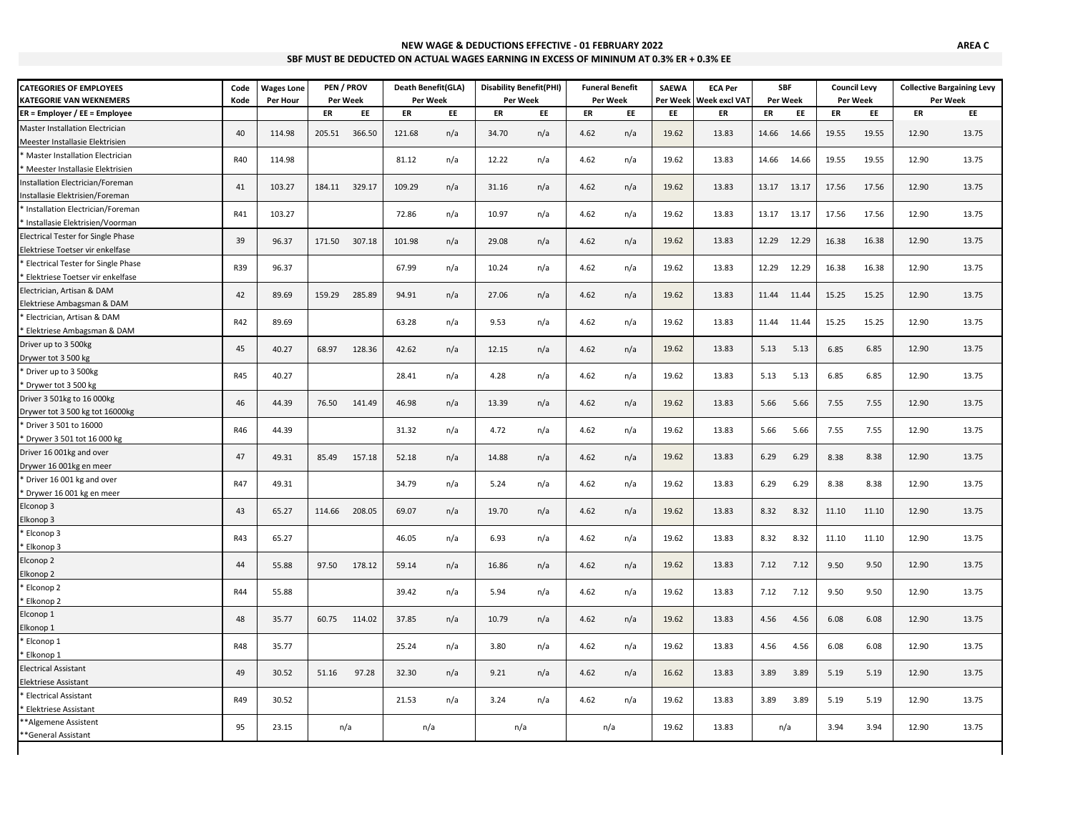| NEW WAGE & DEDUCTIONS EFFECTIVE - 01 FEBRUARY 2022                                     |
|----------------------------------------------------------------------------------------|
| SBF MUST BE DEDUCTED ON ACTUAL WAGES EARNING IN EXCESS OF MININUM AT 0.3% ER + 0.3% EE |

| <b>CATEGORIES OF EMPLOYEES</b>            | Code       | <b>Wages Lone</b> |        | PEN / PROV    | Death Benefit(GLA) |     | <b>Disability Benefit(PHI)</b> |     |      | <b>Funeral Benefit</b> | <b>SAEWA</b> | <b>ECA Per</b>       |          | <b>SBF</b> | <b>Council Levy</b> |       |          | <b>Collective Bargaining Levy</b> |
|-------------------------------------------|------------|-------------------|--------|---------------|--------------------|-----|--------------------------------|-----|------|------------------------|--------------|----------------------|----------|------------|---------------------|-------|----------|-----------------------------------|
| <b>KATEGORIE VAN WEKNEMERS</b>            | Kode       | Per Hour          |        | Per Week      | Per Week           |     | Per Week                       |     |      | Per Week<br>Per Week   |              | <b>Week excl VAT</b> | Per Week |            | Per Week            |       | Per Week |                                   |
| ER = Employer / EE = Employee             |            |                   | ER     | EE            | ER                 | EE  | ER                             | EE  | ER   | EE                     | EE           | ER                   | ER       | EE         | ER                  | EE    | ER       | EE                                |
| Master Installation Electrician           | 40         | 114.98            | 205.51 | 366.50        | 121.68             | n/a | 34.70                          | n/a | 4.62 | n/a                    | 19.62        | 13.83                | 14.66    | 14.66      | 19.55               | 19.55 | 12.90    | 13.75                             |
| Meester Installasie Elektrisien           |            |                   |        |               |                    |     |                                |     |      |                        |              |                      |          |            |                     |       |          |                                   |
| Master Installation Electrician           | R40        | 114.98            |        |               | 81.12              | n/a | 12.22                          | n/a | 4.62 | n/a                    | 19.62        | 13.83                | 14.66    | 14.66      | 19.55               | 19.55 | 12.90    | 13.75                             |
| Meester Installasie Elektrisien           |            |                   |        |               |                    |     |                                |     |      |                        |              |                      |          |            |                     |       |          |                                   |
| Installation Electrician/Foreman          | 41         | 103.27            |        | 184.11 329.17 | 109.29             | n/a | 31.16                          | n/a | 4.62 | n/a                    | 19.62        | 13.83                | 13.17    | 13.17      | 17.56               | 17.56 | 12.90    | 13.75                             |
| Installasie Elektrisien/Foreman           |            |                   |        |               |                    |     |                                |     |      |                        |              |                      |          |            |                     |       |          |                                   |
| * Installation Electrician/Foreman        | R41        | 103.27            |        |               | 72.86              | n/a | 10.97                          | n/a | 4.62 | n/a                    | 19.62        | 13.83                | 13.17    | 13.17      | 17.56               | 17.56 | 12.90    | 13.75                             |
| Installasie Elektrisien/Voorman           |            |                   |        |               |                    |     |                                |     |      |                        |              |                      |          |            |                     |       |          |                                   |
| <b>Electrical Tester for Single Phase</b> | 39         | 96.37             | 171.50 | 307.18        | 101.98             | n/a | 29.08                          | n/a | 4.62 | n/a                    | 19.62        | 13.83                | 12.29    | 12.29      | 16.38               | 16.38 | 12.90    | 13.75                             |
| Elektriese Toetser vir enkelfase          |            |                   |        |               |                    |     |                                |     |      |                        |              |                      |          |            |                     |       |          |                                   |
| <b>Electrical Tester for Single Phase</b> | R39        | 96.37             |        |               | 67.99              | n/a | 10.24                          | n/a | 4.62 | n/a                    | 19.62        | 13.83                | 12.29    | 12.29      | 16.38               | 16.38 | 12.90    | 13.75                             |
| Elektriese Toetser vir enkelfase          |            |                   |        |               |                    |     |                                |     |      |                        |              |                      |          |            |                     |       |          |                                   |
| Electrician, Artisan & DAM                | 42         | 89.69             | 159.29 | 285.89        | 94.91              | n/a | 27.06                          | n/a | 4.62 | n/a                    | 19.62        | 13.83                | 11.44    | 11.44      | 15.25               | 15.25 | 12.90    | 13.75                             |
| Elektriese Ambagsman & DAM                |            |                   |        |               |                    |     |                                |     |      |                        |              |                      |          |            |                     |       |          |                                   |
| Electrician, Artisan & DAM                | R42        | 89.69             |        |               | 63.28              | n/a | 9.53                           | n/a | 4.62 | n/a                    | 19.62        | 13.83                | 11.44    | 11.44      | 15.25               | 15.25 | 12.90    | 13.75                             |
| Elektriese Ambagsman & DAM                |            |                   |        |               |                    |     |                                |     |      |                        |              |                      |          |            |                     |       |          |                                   |
| Driver up to 3 500kg                      | 45         | 40.27             | 68.97  | 128.36        | 42.62              | n/a | 12.15                          | n/a | 4.62 | n/a                    | 19.62        | 13.83                | 5.13     | 5.13       | 6.85                | 6.85  | 12.90    | 13.75                             |
| Drywer tot 3 500 kg                       |            |                   |        |               |                    |     |                                |     |      |                        |              |                      |          |            |                     |       |          |                                   |
| * Driver up to 3 500kg                    | R45        | 40.27             |        |               | 28.41              | n/a | 4.28                           | n/a | 4.62 | n/a                    | 19.62        | 13.83                | 5.13     | 5.13       | 6.85                | 6.85  | 12.90    | 13.75                             |
| Drywer tot 3 500 kg                       |            |                   |        |               |                    |     |                                |     |      |                        |              |                      |          |            |                     |       |          |                                   |
| Driver 3 501kg to 16 000kg                | 46         | 44.39             | 76.50  | 141.49        | 46.98              | n/a | 13.39                          | n/a | 4.62 | n/a                    | 19.62        | 13.83                | 5.66     | 5.66       | 7.55                | 7.55  | 12.90    | 13.75                             |
| Drywer tot 3 500 kg tot 16000kg           |            |                   |        |               |                    |     |                                |     |      |                        |              |                      |          |            |                     |       |          |                                   |
| * Driver 3 501 to 16000                   | R46        | 44.39             |        |               | 31.32              | n/a | 4.72                           | n/a | 4.62 | n/a                    | 19.62        | 13.83                | 5.66     | 5.66       | 7.55                | 7.55  | 12.90    | 13.75                             |
| * Drywer 3 501 tot 16 000 kg              |            |                   |        |               |                    |     |                                |     |      |                        |              |                      |          |            |                     |       |          |                                   |
| Driver 16 001kg and over                  | 47         | 49.31             | 85.49  | 157.18        | 52.18              | n/a | 14.88                          | n/a | 4.62 | n/a                    | 19.62        | 13.83                | 6.29     | 6.29       | 8.38                | 8.38  | 12.90    | 13.75                             |
| Drywer 16 001kg en meer                   |            |                   |        |               |                    |     |                                |     |      |                        |              |                      |          |            |                     |       |          |                                   |
| * Driver 16 001 kg and over               | <b>R47</b> | 49.31             |        |               | 34.79              | n/a | 5.24                           | n/a | 4.62 | n/a                    | 19.62        | 13.83                | 6.29     | 6.29       | 8.38                | 8.38  | 12.90    | 13.75                             |
| * Drywer 16 001 kg en meer                |            |                   |        |               |                    |     |                                |     |      |                        |              |                      |          |            |                     |       |          |                                   |
| Elconop 3                                 | 43         | 65.27             | 114.66 | 208.05        | 69.07              | n/a | 19.70                          | n/a | 4.62 | n/a                    | 19.62        | 13.83                | 8.32     | 8.32       | 11.10               | 11.10 | 12.90    | 13.75                             |
| Elkonop 3                                 |            |                   |        |               |                    |     |                                |     |      |                        |              |                      |          |            |                     |       |          |                                   |
| Elconop 3                                 | <b>R43</b> | 65.27             |        |               | 46.05              | n/a | 6.93                           | n/a | 4.62 | n/a                    | 19.62        | 13.83                | 8.32     | 8.32       | 11.10               | 11.10 | 12.90    | 13.75                             |
| Elkonop 3                                 |            |                   |        |               |                    |     |                                |     |      |                        |              |                      |          |            |                     |       |          |                                   |
| Elconop 2                                 | 44         | 55.88             | 97.50  | 178.12        | 59.14              | n/a | 16.86                          | n/a | 4.62 | n/a                    | 19.62        | 13.83                | 7.12     | 7.12       | 9.50                | 9.50  | 12.90    | 13.75                             |
| Elkonop 2                                 |            |                   |        |               |                    |     |                                |     |      |                        |              |                      |          |            |                     |       |          |                                   |
| Elconop 2                                 | R44        | 55.88             |        |               | 39.42              | n/a | 5.94                           | n/a | 4.62 | n/a                    | 19.62        | 13.83                | 7.12     | 7.12       | 9.50                | 9.50  | 12.90    | 13.75                             |
| Elkonop 2                                 |            |                   |        |               |                    |     |                                |     |      |                        |              |                      |          |            |                     |       |          |                                   |
| Elconop 1                                 | 48         | 35.77             | 60.75  | 114.02        | 37.85              | n/a | 10.79                          | n/a | 4.62 | n/a                    | 19.62        | 13.83                | 4.56     | 4.56       | 6.08                | 6.08  | 12.90    | 13.75                             |
| Elkonop 1                                 |            |                   |        |               |                    |     |                                |     |      |                        |              |                      |          |            |                     |       |          |                                   |
| Elconop 1                                 | <b>R48</b> | 35.77             |        |               | 25.24              | n/a | 3.80                           | n/a | 4.62 | n/a                    | 19.62        | 13.83                | 4.56     | 4.56       | 6.08                | 6.08  | 12.90    | 13.75                             |
| Elkonop 1                                 |            |                   |        |               |                    |     |                                |     |      |                        |              |                      |          |            |                     |       |          |                                   |
| <b>Electrical Assistant</b>               | 49         | 30.52             | 51.16  | 97.28         | 32.30              | n/a | 9.21                           | n/a | 4.62 | n/a                    | 16.62        | 13.83                | 3.89     | 3.89       | 5.19                | 5.19  | 12.90    | 13.75                             |
| Elektriese Assistant                      |            |                   |        |               |                    |     |                                |     |      |                        |              |                      |          |            |                     |       |          |                                   |
| <b>Electrical Assistant</b>               | R49        | 30.52             |        |               | 21.53              | n/a | 3.24                           | n/a | 4.62 | n/a                    | 19.62        | 13.83                | 3.89     | 3.89       | 5.19                | 5.19  | 12.90    | 13.75                             |
| Elektriese Assistant                      |            |                   |        |               |                    |     |                                |     |      |                        |              |                      |          |            |                     |       |          |                                   |
| *Algemene Assistent                       | 95         | 23.15             |        | n/a           |                    |     | n/a                            |     |      | n/a                    | 19.62        | 13.83                |          | n/a        | 3.94                | 3.94  | 12.90    | 13.75                             |
| *General Assistant                        |            |                   |        |               | n/a                |     |                                |     |      |                        |              |                      |          |            |                     |       |          |                                   |
|                                           |            |                   |        |               |                    |     |                                |     |      |                        |              |                      |          |            |                     |       |          |                                   |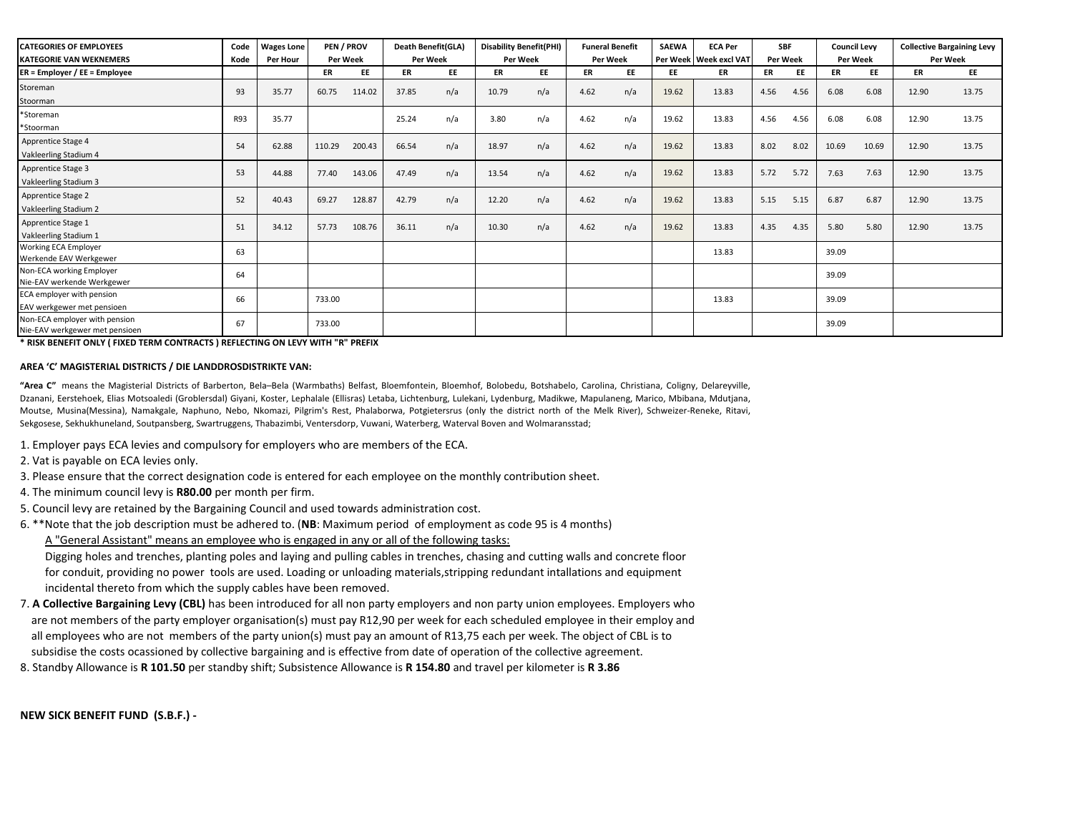| <b>CATEGORIES OF EMPLOYEES</b><br><b>KATEGORIE VAN WEKNEMERS</b> | Code<br>Kode | <b>Wages Lone</b><br>Per Hour | PEN / PROV<br>Per Week |        | Death Benefit(GLA)<br>Per Week |           | <b>Disability Benefit(PHI)</b><br>Per Week |     | <b>Funeral Benefit</b><br>Per Week |     | <b>SAEWA</b> | <b>ECA Per</b><br>Per Week   Week excl VAT | <b>SBF</b><br>Per Week |      | <b>Council Levy</b><br><b>Per Week</b> |       | <b>Collective Bargaining Levy</b><br>Per Week |       |
|------------------------------------------------------------------|--------------|-------------------------------|------------------------|--------|--------------------------------|-----------|--------------------------------------------|-----|------------------------------------|-----|--------------|--------------------------------------------|------------------------|------|----------------------------------------|-------|-----------------------------------------------|-------|
| ER = Employer / EE = Employee                                    |              |                               | ER                     | EE     | ER                             | <b>EE</b> | ER                                         | EE  | ER                                 | EE  | EE           | ER                                         | ER                     | EE   | ER                                     | EE    | ER                                            | EE    |
| Storeman<br>Stoorman                                             | 93           | 35.77                         | 60.75                  | 114.02 | 37.85                          | n/a       | 10.79                                      | n/a | 4.62                               | n/a | 19.62        | 13.83                                      | 4.56                   | 4.56 | 6.08                                   | 6.08  | 12.90                                         | 13.75 |
| *Storeman<br>*Stoorman                                           | R93          | 35.77                         |                        |        | 25.24                          | n/a       | 3.80                                       | n/a | 4.62                               | n/a | 19.62        | 13.83                                      | 4.56                   | 4.56 | 6.08                                   | 6.08  | 12.90                                         | 13.75 |
| Apprentice Stage 4<br>Vakleerling Stadium 4                      | 54           | 62.88                         | 110.29                 | 200.43 | 66.54                          | n/a       | 18.97                                      | n/a | 4.62                               | n/a | 19.62        | 13.83                                      | 8.02                   | 8.02 | 10.69                                  | 10.69 | 12.90                                         | 13.75 |
| Apprentice Stage 3<br>Vakleerling Stadium 3                      | 53           | 44.88                         | 77.40                  | 143.06 | 47.49                          | n/a       | 13.54                                      | n/a | 4.62                               | n/a | 19.62        | 13.83                                      | 5.72                   | 5.72 | 7.63                                   | 7.63  | 12.90                                         | 13.75 |
| Apprentice Stage 2<br>Vakleerling Stadium 2                      | 52           | 40.43                         | 69.27                  | 128.87 | 42.79                          | n/a       | 12.20                                      | n/a | 4.62                               | n/a | 19.62        | 13.83                                      | 5.15                   | 5.15 | 6.87                                   | 6.87  | 12.90                                         | 13.75 |
| Apprentice Stage 1<br>Vakleerling Stadium 1                      | 51           | 34.12                         | 57.73                  | 108.76 | 36.11                          | n/a       | 10.30                                      | n/a | 4.62                               | n/a | 19.62        | 13.83                                      | 4.35                   | 4.35 | 5.80                                   | 5.80  | 12.90                                         | 13.75 |
| <b>Working ECA Employer</b><br>Werkende EAV Werkgewer            | 63           |                               |                        |        |                                |           |                                            |     |                                    |     |              | 13.83                                      |                        |      | 39.09                                  |       |                                               |       |
| <b>Non-ECA working Employer</b><br>Nie-EAV werkende Werkgewer    | 64           |                               |                        |        |                                |           |                                            |     |                                    |     |              |                                            |                        |      | 39.09                                  |       |                                               |       |
| ECA employer with pension<br>EAV werkgewer met pensioen          | 66           |                               | 733.00                 |        |                                |           |                                            |     |                                    |     |              | 13.83                                      |                        |      | 39.09                                  |       |                                               |       |
| Non-ECA employer with pension<br>Nie-EAV werkgewer met pensioen  | 67           |                               | 733.00                 |        |                                |           |                                            |     |                                    |     |              |                                            |                        |      | 39.09                                  |       |                                               |       |

**\* RISK BENEFIT ONLY ( FIXED TERM CONTRACTS ) REFLECTING ON LEVY WITH "R" PREFIX** 

## **AREA 'C' MAGISTERIAL DISTRICTS / DIE LANDDROSDISTRIKTE VAN:**

**"Area C"** means the Magisterial Districts of Barberton, Bela–Bela (Warmbaths) Belfast, Bloemfontein, Bloemhof, Bolobedu, Botshabelo, Carolina, Christiana, Coligny, Delareyville, Dzanani, Eerstehoek, Elias Motsoaledi (Groblersdal) Giyani, Koster, Lephalale (Ellisras) Letaba, Lichtenburg, Lulekani, Lydenburg, Madikwe, Mapulaneng, Marico, Mbibana, Mdutjana, Moutse, Musina(Messina), Namakgale, Naphuno, Nebo, Nkomazi, Pilgrim's Rest, Phalaborwa, Potgietersrus (only the district north of the Melk River), Schweizer-Reneke, Ritavi, Sekgosese, Sekhukhuneland, Soutpansberg, Swartruggens, Thabazimbi, Ventersdorp, Vuwani, Waterberg, Waterval Boven and Wolmaransstad;

- 1. Employer pays ECA levies and compulsory for employers who are members of the ECA.
- 2. Vat is payable on ECA levies only.
- 3. Please ensure that the correct designation code is entered for each employee on the monthly contribution sheet.
- 4. The minimum council levy is **R80.00** per month per firm.
- 5. Council levy are retained by the Bargaining Council and used towards administration cost.
- 6. \*\*Note that the job description must be adhered to. (**NB**: Maximum period of employment as code 95 is 4 months) A "General Assistant" means an employee who is engaged in any or all of the following tasks:

 Digging holes and trenches, planting poles and laying and pulling cables in trenches, chasing and cutting walls and concrete floor for conduit, providing no power tools are used. Loading or unloading materials,stripping redundant intallations and equipment incidental thereto from which the supply cables have been removed.

- are not members of the party employer organisation(s) must pay R12,90 per week for each scheduled employee in their employ and all employees who are not members of the party union(s) must pay an amount of R13,75 each per week. The object of CBL is to subsidise the costs ocassioned by collective bargaining and is effective from date of operation of the collective agreement. 7. **A Collective Bargaining Levy (CBL)** has been introduced for all non party employers and non party union employees. Employers who
- 8. Standby Allowance is **R 101.50** per standby shift; Subsistence Allowance is **R 154.80** and travel per kilometer is **R 3.86**

**NEW SICK BENEFIT FUND (S.B.F.) -**